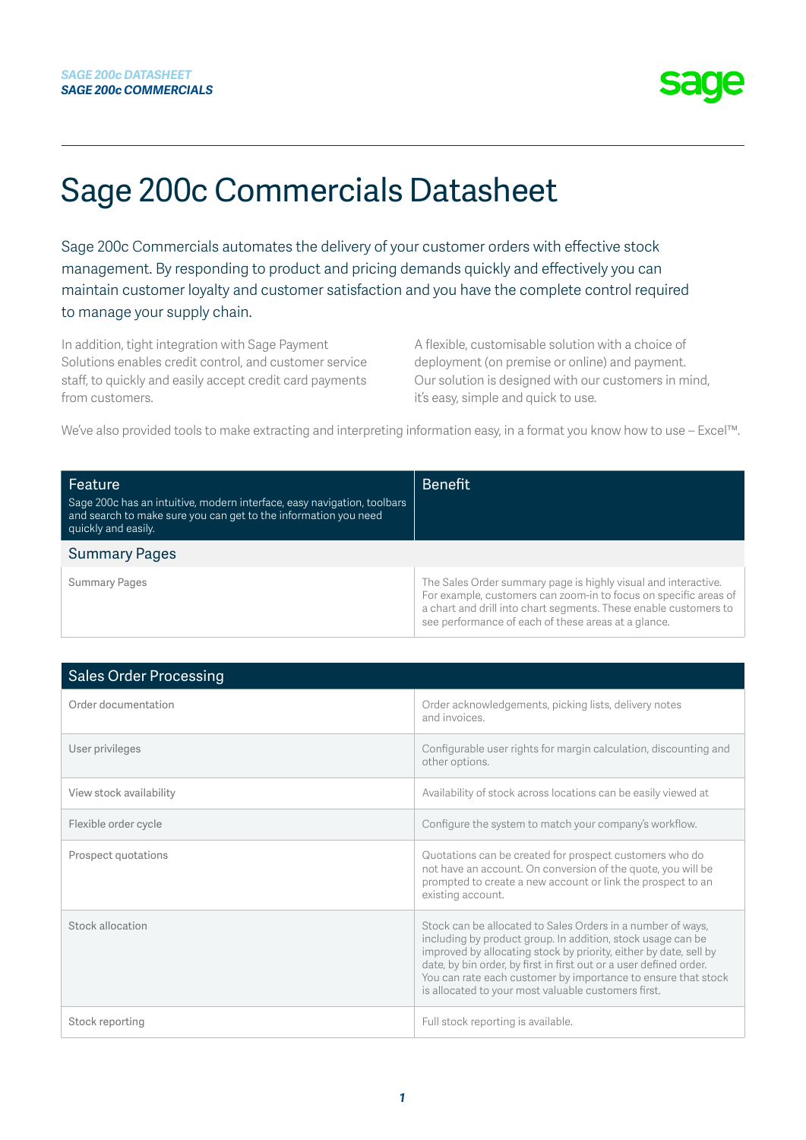### Sage 200c Commercials Datasheet

Sage 200c Commercials automates the delivery of your customer orders with effective stock management. By responding to product and pricing demands quickly and effectively you can maintain customer loyalty and customer satisfaction and you have the complete control required to manage your supply chain.

In addition, tight integration with Sage Payment Solutions enables credit control, and customer service staff, to quickly and easily accept credit card payments from customers.

A flexible, customisable solution with a choice of deployment (on premise or online) and payment. Our solution is designed with our customers in mind, it's easy, simple and quick to use.

We've also provided tools to make extracting and interpreting information easy, in a format you know how to use – Excel™.

| Feature<br>Sage 200c has an intuitive, modern interface, easy navigation, toolbars<br>and search to make sure you can get to the information you need<br>quickly and easily. | <b>Benefit</b>                                                                                                                                                                                                                                                |
|------------------------------------------------------------------------------------------------------------------------------------------------------------------------------|---------------------------------------------------------------------------------------------------------------------------------------------------------------------------------------------------------------------------------------------------------------|
| <b>Summary Pages</b>                                                                                                                                                         |                                                                                                                                                                                                                                                               |
| <b>Summary Pages</b>                                                                                                                                                         | The Sales Order summary page is highly visual and interactive.<br>For example, customers can zoom-in to focus on specific areas of<br>a chart and drill into chart segments. These enable customers to<br>see performance of each of these areas at a glance. |

| <b>Sales Order Processing</b> |                                                                                                                                                                                                                                                                                                                                                                                               |
|-------------------------------|-----------------------------------------------------------------------------------------------------------------------------------------------------------------------------------------------------------------------------------------------------------------------------------------------------------------------------------------------------------------------------------------------|
| Order documentation           | Order acknowledgements, picking lists, delivery notes<br>and invoices.                                                                                                                                                                                                                                                                                                                        |
| User privileges               | Configurable user rights for margin calculation, discounting and<br>other options.                                                                                                                                                                                                                                                                                                            |
| View stock availability       | Availability of stock across locations can be easily viewed at                                                                                                                                                                                                                                                                                                                                |
| Flexible order cycle          | Configure the system to match your company's workflow.                                                                                                                                                                                                                                                                                                                                        |
| Prospect quotations           | Quotations can be created for prospect customers who do<br>not have an account. On conversion of the quote, you will be<br>prompted to create a new account or link the prospect to an<br>existing account.                                                                                                                                                                                   |
| Stock allocation              | Stock can be allocated to Sales Orders in a number of ways,<br>including by product group. In addition, stock usage can be<br>improved by allocating stock by priority, either by date, sell by<br>date, by bin order, by first in first out or a user defined order.<br>You can rate each customer by importance to ensure that stock<br>is allocated to your most valuable customers first. |
| Stock reporting               | Full stock reporting is available.                                                                                                                                                                                                                                                                                                                                                            |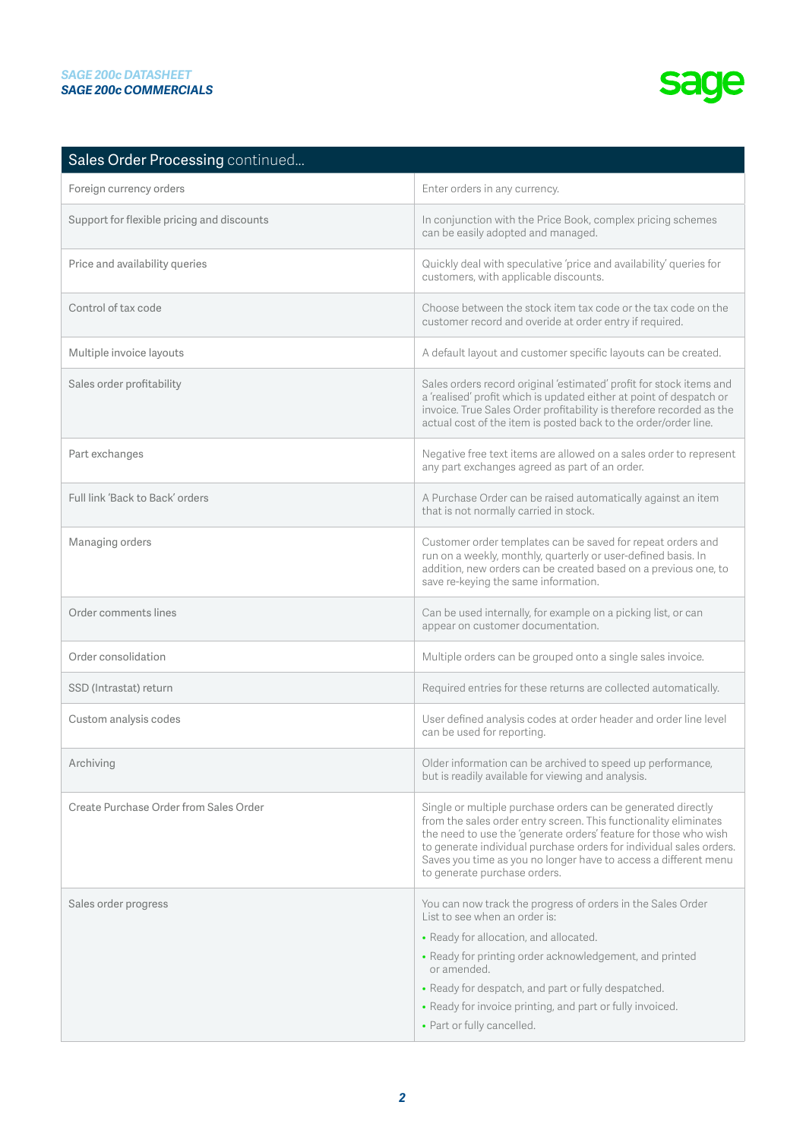| Sales Order Processing continued           |                                                                                                                                                                                                                                                                                                                                                                                |
|--------------------------------------------|--------------------------------------------------------------------------------------------------------------------------------------------------------------------------------------------------------------------------------------------------------------------------------------------------------------------------------------------------------------------------------|
| Foreign currency orders                    | Enter orders in any currency.                                                                                                                                                                                                                                                                                                                                                  |
| Support for flexible pricing and discounts | In conjunction with the Price Book, complex pricing schemes<br>can be easily adopted and managed.                                                                                                                                                                                                                                                                              |
| Price and availability queries             | Quickly deal with speculative 'price and availability' queries for<br>customers, with applicable discounts.                                                                                                                                                                                                                                                                    |
| Control of tax code                        | Choose between the stock item tax code or the tax code on the<br>customer record and overide at order entry if required.                                                                                                                                                                                                                                                       |
| Multiple invoice layouts                   | A default layout and customer specific layouts can be created.                                                                                                                                                                                                                                                                                                                 |
| Sales order profitability                  | Sales orders record original 'estimated' profit for stock items and<br>a 'realised' profit which is updated either at point of despatch or<br>invoice. True Sales Order profitability is therefore recorded as the<br>actual cost of the item is posted back to the order/order line.                                                                                          |
| Part exchanges                             | Negative free text items are allowed on a sales order to represent<br>any part exchanges agreed as part of an order.                                                                                                                                                                                                                                                           |
| Full link 'Back to Back' orders            | A Purchase Order can be raised automatically against an item<br>that is not normally carried in stock.                                                                                                                                                                                                                                                                         |
| Managing orders                            | Customer order templates can be saved for repeat orders and<br>run on a weekly, monthly, quarterly or user-defined basis. In<br>addition, new orders can be created based on a previous one, to<br>save re-keying the same information.                                                                                                                                        |
| Order comments lines                       | Can be used internally, for example on a picking list, or can<br>appear on customer documentation.                                                                                                                                                                                                                                                                             |
| Order consolidation                        | Multiple orders can be grouped onto a single sales invoice.                                                                                                                                                                                                                                                                                                                    |
| SSD (Intrastat) return                     | Required entries for these returns are collected automatically.                                                                                                                                                                                                                                                                                                                |
| Custom analysis codes                      | User defined analysis codes at order header and order line level<br>can be used for reporting.                                                                                                                                                                                                                                                                                 |
| Archiving                                  | Older information can be archived to speed up performance,<br>but is readily available for viewing and analysis.                                                                                                                                                                                                                                                               |
| Create Purchase Order from Sales Order     | Single or multiple purchase orders can be generated directly<br>from the sales order entry screen. This functionality eliminates<br>the need to use the 'generate orders' feature for those who wish<br>to generate individual purchase orders for individual sales orders.<br>Saves you time as you no longer have to access a different menu<br>to generate purchase orders. |
| Sales order progress                       | You can now track the progress of orders in the Sales Order<br>List to see when an order is:                                                                                                                                                                                                                                                                                   |
|                                            | • Ready for allocation, and allocated.<br>• Ready for printing order acknowledgement, and printed                                                                                                                                                                                                                                                                              |
|                                            | or amended.                                                                                                                                                                                                                                                                                                                                                                    |
|                                            | • Ready for despatch, and part or fully despatched.                                                                                                                                                                                                                                                                                                                            |
|                                            | • Ready for invoice printing, and part or fully invoiced.                                                                                                                                                                                                                                                                                                                      |
|                                            | • Part or fully cancelled.                                                                                                                                                                                                                                                                                                                                                     |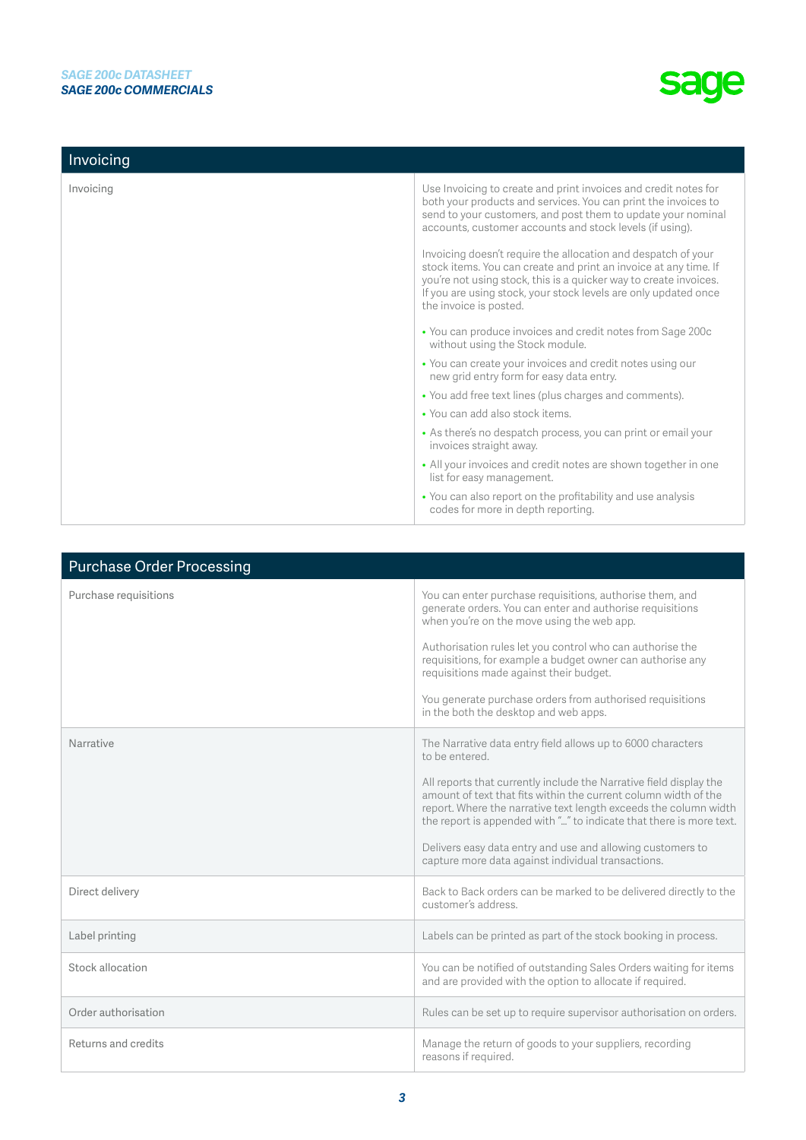| Invoicing |                                                                                                                                                                                                                                                                                                     |
|-----------|-----------------------------------------------------------------------------------------------------------------------------------------------------------------------------------------------------------------------------------------------------------------------------------------------------|
| Invoicing | Use Invoicing to create and print invoices and credit notes for<br>both your products and services. You can print the invoices to<br>send to your customers, and post them to update your nominal<br>accounts, customer accounts and stock levels (if using).                                       |
|           | Invoicing doesn't require the allocation and despatch of your<br>stock items. You can create and print an invoice at any time. If<br>you're not using stock, this is a quicker way to create invoices.<br>If you are using stock, your stock levels are only updated once<br>the invoice is posted. |
|           | • You can produce invoices and credit notes from Sage 200c<br>without using the Stock module.                                                                                                                                                                                                       |
|           | • You can create your invoices and credit notes using our<br>new grid entry form for easy data entry.                                                                                                                                                                                               |
|           | • You add free text lines (plus charges and comments).                                                                                                                                                                                                                                              |
|           | . You can add also stock items.                                                                                                                                                                                                                                                                     |
|           | • As there's no despatch process, you can print or email your<br>invoices straight away.                                                                                                                                                                                                            |
|           | • All your invoices and credit notes are shown together in one<br>list for easy management.                                                                                                                                                                                                         |
|           | • You can also report on the profitability and use analysis<br>codes for more in depth reporting.                                                                                                                                                                                                   |

| <b>Purchase Order Processing</b> |                                                                                                                                                                                                                                                                                                                                                                                                      |
|----------------------------------|------------------------------------------------------------------------------------------------------------------------------------------------------------------------------------------------------------------------------------------------------------------------------------------------------------------------------------------------------------------------------------------------------|
| Purchase requisitions            | You can enter purchase requisitions, authorise them, and<br>generate orders. You can enter and authorise requisitions<br>when you're on the move using the web app.                                                                                                                                                                                                                                  |
|                                  | Authorisation rules let you control who can authorise the<br>requisitions, for example a budget owner can authorise any<br>requisitions made against their budget.                                                                                                                                                                                                                                   |
|                                  | You generate purchase orders from authorised requisitions<br>in the both the desktop and web apps.                                                                                                                                                                                                                                                                                                   |
| Narrative                        | The Narrative data entry field allows up to 6000 characters<br>to be entered.                                                                                                                                                                                                                                                                                                                        |
|                                  | All reports that currently include the Narrative field display the<br>amount of text that fits within the current column width of the<br>report. Where the narrative text length exceeds the column width<br>the report is appended with "" to indicate that there is more text.<br>Delivers easy data entry and use and allowing customers to<br>capture more data against individual transactions. |
|                                  |                                                                                                                                                                                                                                                                                                                                                                                                      |
| Direct delivery                  | Back to Back orders can be marked to be delivered directly to the<br>customer's address.                                                                                                                                                                                                                                                                                                             |
| Label printing                   | Labels can be printed as part of the stock booking in process.                                                                                                                                                                                                                                                                                                                                       |
| Stock allocation                 | You can be notified of outstanding Sales Orders waiting for items<br>and are provided with the option to allocate if required.                                                                                                                                                                                                                                                                       |
| Order authorisation              | Rules can be set up to require supervisor authorisation on orders.                                                                                                                                                                                                                                                                                                                                   |
| Returns and credits              | Manage the return of goods to your suppliers, recording<br>reasons if required.                                                                                                                                                                                                                                                                                                                      |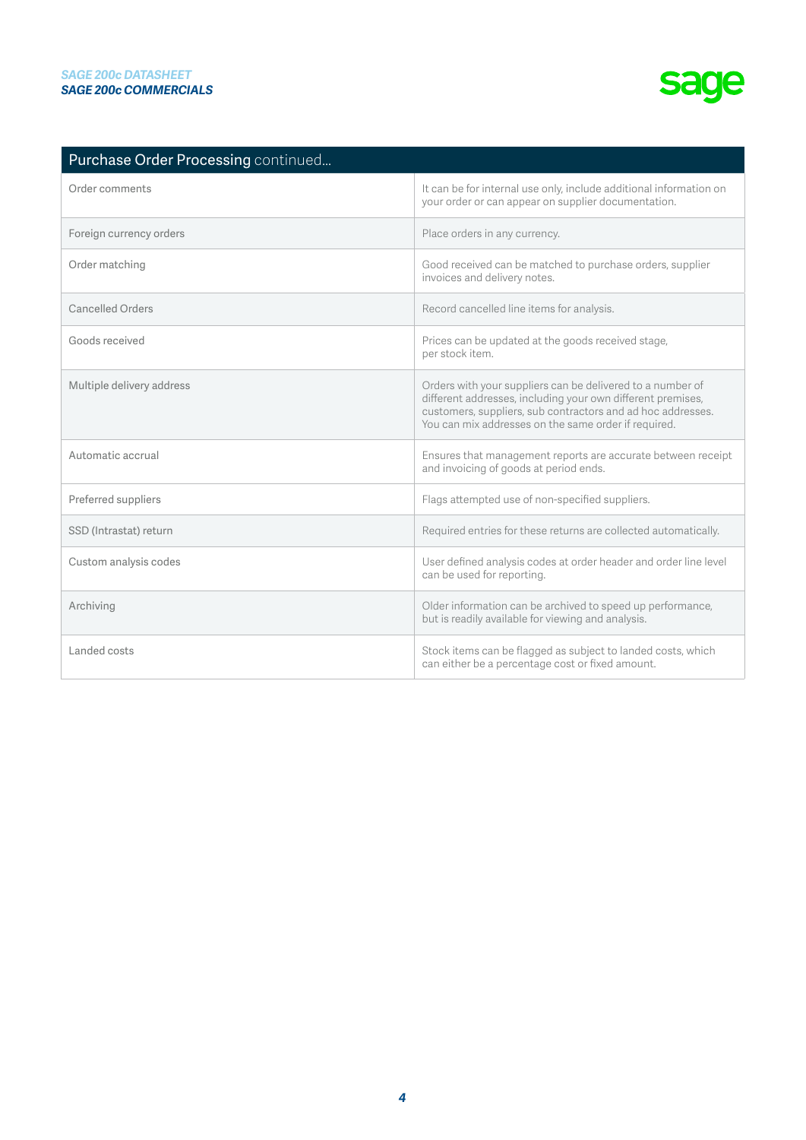| Purchase Order Processing continued |                                                                                                                                                                                                                                                  |
|-------------------------------------|--------------------------------------------------------------------------------------------------------------------------------------------------------------------------------------------------------------------------------------------------|
| Order comments                      | It can be for internal use only, include additional information on<br>your order or can appear on supplier documentation.                                                                                                                        |
| Foreign currency orders             | Place orders in any currency.                                                                                                                                                                                                                    |
| Order matching                      | Good received can be matched to purchase orders, supplier<br>invoices and delivery notes.                                                                                                                                                        |
| <b>Cancelled Orders</b>             | Record cancelled line items for analysis.                                                                                                                                                                                                        |
| Goods received                      | Prices can be updated at the goods received stage,<br>per stock item.                                                                                                                                                                            |
| Multiple delivery address           | Orders with your suppliers can be delivered to a number of<br>different addresses, including your own different premises,<br>customers, suppliers, sub contractors and ad hoc addresses.<br>You can mix addresses on the same order if required. |
| Automatic accrual                   | Ensures that management reports are accurate between receipt<br>and invoicing of goods at period ends.                                                                                                                                           |
| Preferred suppliers                 | Flags attempted use of non-specified suppliers.                                                                                                                                                                                                  |
| SSD (Intrastat) return              | Required entries for these returns are collected automatically.                                                                                                                                                                                  |
| Custom analysis codes               | User defined analysis codes at order header and order line level<br>can be used for reporting.                                                                                                                                                   |
| Archiving                           | Older information can be archived to speed up performance,<br>but is readily available for viewing and analysis.                                                                                                                                 |
| Landed costs                        | Stock items can be flagged as subject to landed costs, which<br>can either be a percentage cost or fixed amount.                                                                                                                                 |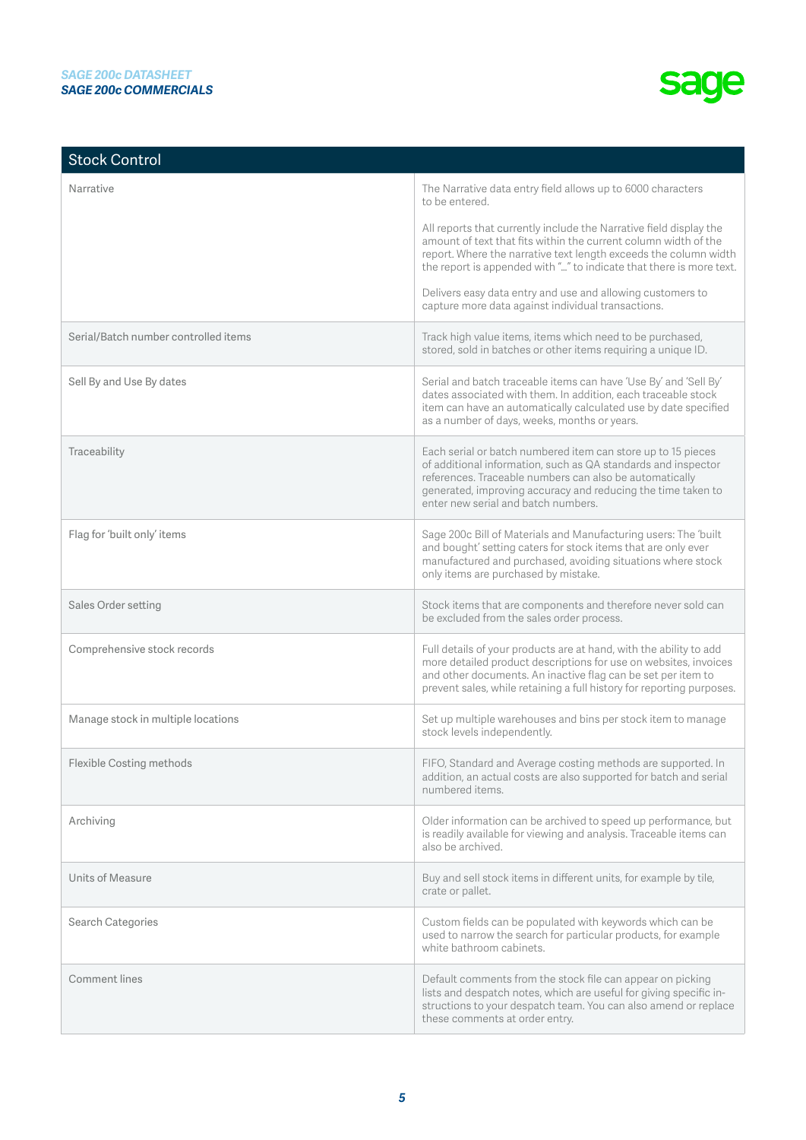| <b>Stock Control</b>                 |                                                                                                                                                                                                                                                                                                 |
|--------------------------------------|-------------------------------------------------------------------------------------------------------------------------------------------------------------------------------------------------------------------------------------------------------------------------------------------------|
| Narrative                            | The Narrative data entry field allows up to 6000 characters<br>to be entered.                                                                                                                                                                                                                   |
|                                      | All reports that currently include the Narrative field display the<br>amount of text that fits within the current column width of the<br>report. Where the narrative text length exceeds the column width<br>the report is appended with "" to indicate that there is more text.                |
|                                      | Delivers easy data entry and use and allowing customers to<br>capture more data against individual transactions.                                                                                                                                                                                |
| Serial/Batch number controlled items | Track high value items, items which need to be purchased,<br>stored, sold in batches or other items requiring a unique ID.                                                                                                                                                                      |
| Sell By and Use By dates             | Serial and batch traceable items can have 'Use By' and 'Sell By'<br>dates associated with them. In addition, each traceable stock<br>item can have an automatically calculated use by date specified<br>as a number of days, weeks, months or years.                                            |
| Traceability                         | Each serial or batch numbered item can store up to 15 pieces<br>of additional information, such as QA standards and inspector<br>references. Traceable numbers can also be automatically<br>generated, improving accuracy and reducing the time taken to<br>enter new serial and batch numbers. |
| Flag for 'built only' items          | Sage 200c Bill of Materials and Manufacturing users: The 'built<br>and bought' setting caters for stock items that are only ever<br>manufactured and purchased, avoiding situations where stock<br>only items are purchased by mistake.                                                         |
| Sales Order setting                  | Stock items that are components and therefore never sold can<br>be excluded from the sales order process.                                                                                                                                                                                       |
| Comprehensive stock records          | Full details of your products are at hand, with the ability to add<br>more detailed product descriptions for use on websites, invoices<br>and other documents. An inactive flag can be set per item to<br>prevent sales, while retaining a full history for reporting purposes.                 |
| Manage stock in multiple locations   | Set up multiple warehouses and bins per stock item to manage<br>stock levels independently.                                                                                                                                                                                                     |
| Flexible Costing methods             | FIFO, Standard and Average costing methods are supported. In<br>addition, an actual costs are also supported for batch and serial<br>numbered items.                                                                                                                                            |
| Archiving                            | Older information can be archived to speed up performance, but<br>is readily available for viewing and analysis. Traceable items can<br>also be archived.                                                                                                                                       |
| Units of Measure                     | Buy and sell stock items in different units, for example by tile,<br>crate or pallet.                                                                                                                                                                                                           |
| Search Categories                    | Custom fields can be populated with keywords which can be<br>used to narrow the search for particular products, for example<br>white bathroom cabinets.                                                                                                                                         |
| Comment lines                        | Default comments from the stock file can appear on picking<br>lists and despatch notes, which are useful for giving specific in-<br>structions to your despatch team. You can also amend or replace<br>these comments at order entry.                                                           |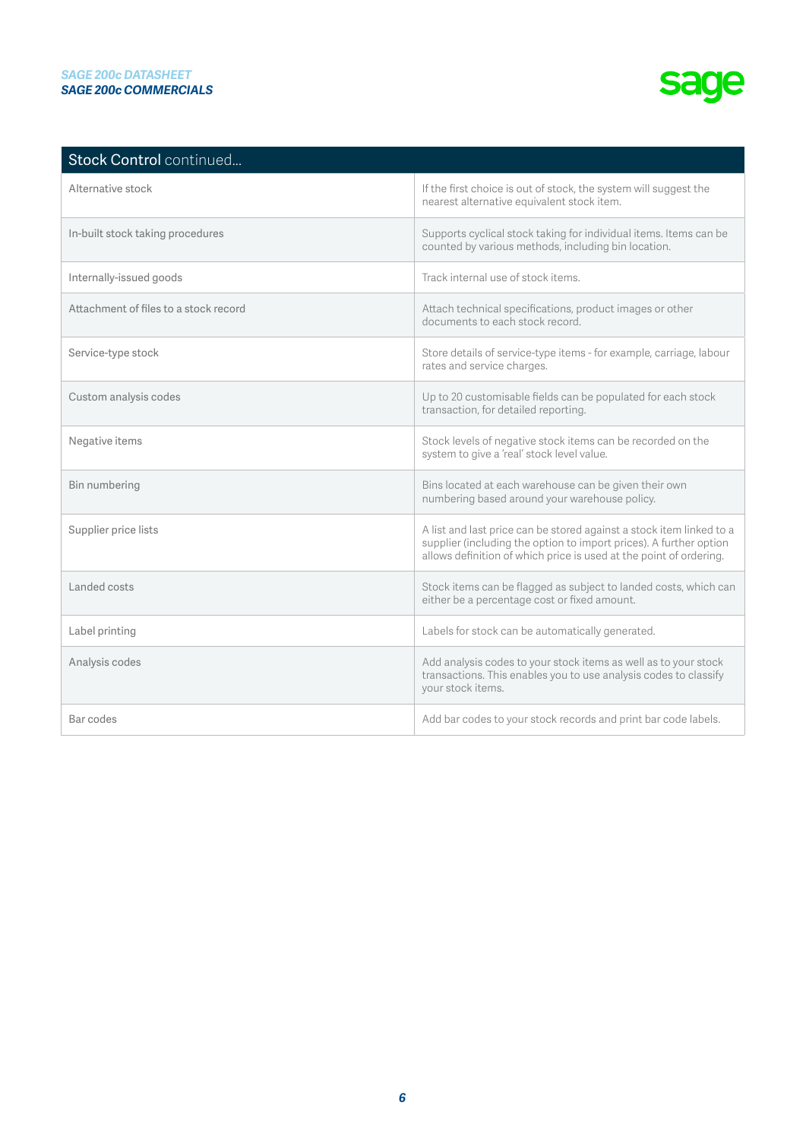| Stock Control continued               |                                                                                                                                                                                                                  |
|---------------------------------------|------------------------------------------------------------------------------------------------------------------------------------------------------------------------------------------------------------------|
| Alternative stock                     | If the first choice is out of stock, the system will suggest the<br>nearest alternative equivalent stock item.                                                                                                   |
| In-built stock taking procedures      | Supports cyclical stock taking for individual items. Items can be<br>counted by various methods, including bin location.                                                                                         |
| Internally-issued goods               | Track internal use of stock items.                                                                                                                                                                               |
| Attachment of files to a stock record | Attach technical specifications, product images or other<br>documents to each stock record.                                                                                                                      |
| Service-type stock                    | Store details of service-type items - for example, carriage, labour<br>rates and service charges.                                                                                                                |
| Custom analysis codes                 | Up to 20 customisable fields can be populated for each stock<br>transaction, for detailed reporting.                                                                                                             |
| Negative items                        | Stock levels of negative stock items can be recorded on the<br>system to give a 'real' stock level value.                                                                                                        |
| Bin numbering                         | Bins located at each warehouse can be given their own<br>numbering based around your warehouse policy.                                                                                                           |
| Supplier price lists                  | A list and last price can be stored against a stock item linked to a<br>supplier (including the option to import prices). A further option<br>allows definition of which price is used at the point of ordering. |
| Landed costs                          | Stock items can be flagged as subject to landed costs, which can<br>either be a percentage cost or fixed amount.                                                                                                 |
| Label printing                        | Labels for stock can be automatically generated.                                                                                                                                                                 |
| Analysis codes                        | Add analysis codes to your stock items as well as to your stock<br>transactions. This enables you to use analysis codes to classify<br>your stock items.                                                         |
| Bar codes                             | Add bar codes to your stock records and print bar code labels.                                                                                                                                                   |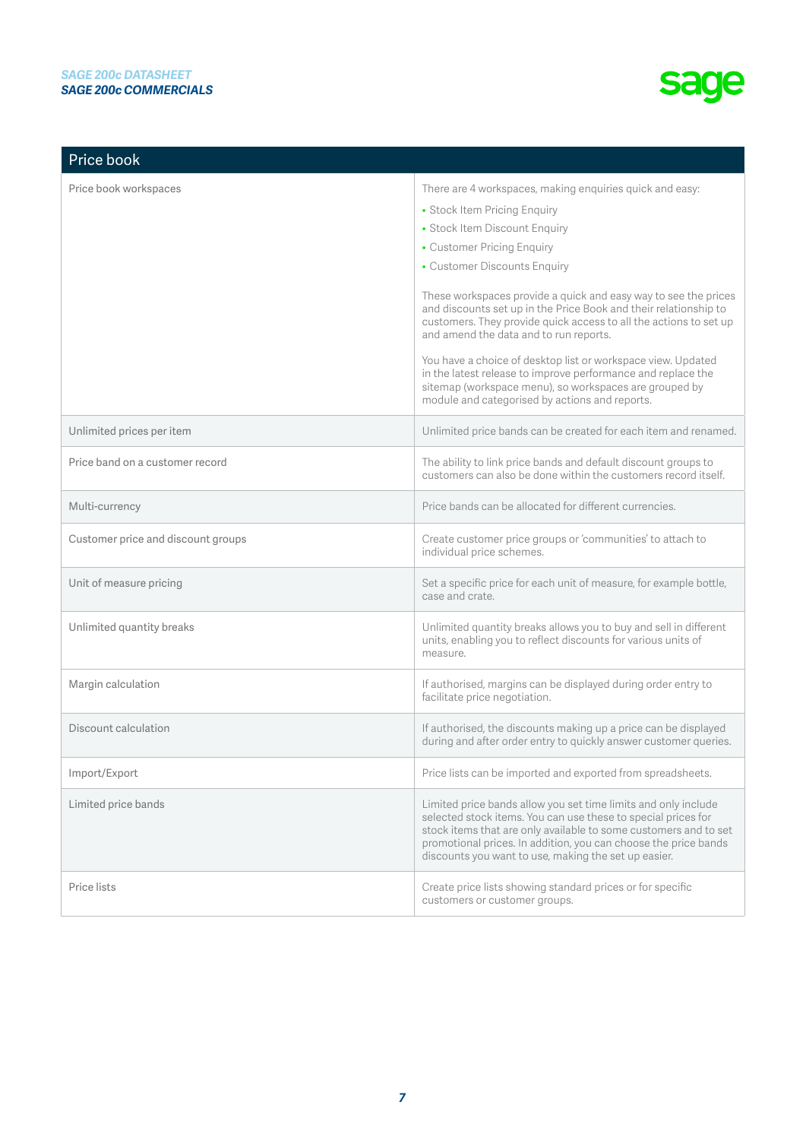| Price book                         |                                                                                                                                                                                                                                                                                                                                                                                                                                                                                                                                                                                                                                                                                           |
|------------------------------------|-------------------------------------------------------------------------------------------------------------------------------------------------------------------------------------------------------------------------------------------------------------------------------------------------------------------------------------------------------------------------------------------------------------------------------------------------------------------------------------------------------------------------------------------------------------------------------------------------------------------------------------------------------------------------------------------|
| Price book workspaces              | There are 4 workspaces, making enquiries quick and easy:<br>• Stock Item Pricing Enquiry<br>• Stock Item Discount Enquiry<br>• Customer Pricing Enquiry<br>• Customer Discounts Enquiry<br>These workspaces provide a quick and easy way to see the prices<br>and discounts set up in the Price Book and their relationship to<br>customers. They provide quick access to all the actions to set up<br>and amend the data and to run reports.<br>You have a choice of desktop list or workspace view. Updated<br>in the latest release to improve performance and replace the<br>sitemap (workspace menu), so workspaces are grouped by<br>module and categorised by actions and reports. |
| Unlimited prices per item          | Unlimited price bands can be created for each item and renamed.                                                                                                                                                                                                                                                                                                                                                                                                                                                                                                                                                                                                                           |
| Price band on a customer record    | The ability to link price bands and default discount groups to<br>customers can also be done within the customers record itself.                                                                                                                                                                                                                                                                                                                                                                                                                                                                                                                                                          |
| Multi-currency                     | Price bands can be allocated for different currencies.                                                                                                                                                                                                                                                                                                                                                                                                                                                                                                                                                                                                                                    |
| Customer price and discount groups | Create customer price groups or 'communities' to attach to<br>individual price schemes.                                                                                                                                                                                                                                                                                                                                                                                                                                                                                                                                                                                                   |
| Unit of measure pricing            | Set a specific price for each unit of measure, for example bottle,<br>case and crate.                                                                                                                                                                                                                                                                                                                                                                                                                                                                                                                                                                                                     |
| Unlimited quantity breaks          | Unlimited quantity breaks allows you to buy and sell in different<br>units, enabling you to reflect discounts for various units of<br>measure.                                                                                                                                                                                                                                                                                                                                                                                                                                                                                                                                            |
| Margin calculation                 | If authorised, margins can be displayed during order entry to<br>facilitate price negotiation.                                                                                                                                                                                                                                                                                                                                                                                                                                                                                                                                                                                            |
| Discount calculation               | If authorised, the discounts making up a price can be displayed<br>during and after order entry to quickly answer customer queries.                                                                                                                                                                                                                                                                                                                                                                                                                                                                                                                                                       |
| Import/Export                      | Price lists can be imported and exported from spreadsheets.                                                                                                                                                                                                                                                                                                                                                                                                                                                                                                                                                                                                                               |
| Limited price bands                | Limited price bands allow you set time limits and only include<br>selected stock items. You can use these to special prices for<br>stock items that are only available to some customers and to set<br>promotional prices. In addition, you can choose the price bands<br>discounts you want to use, making the set up easier.                                                                                                                                                                                                                                                                                                                                                            |
| Price lists                        | Create price lists showing standard prices or for specific<br>customers or customer groups.                                                                                                                                                                                                                                                                                                                                                                                                                                                                                                                                                                                               |